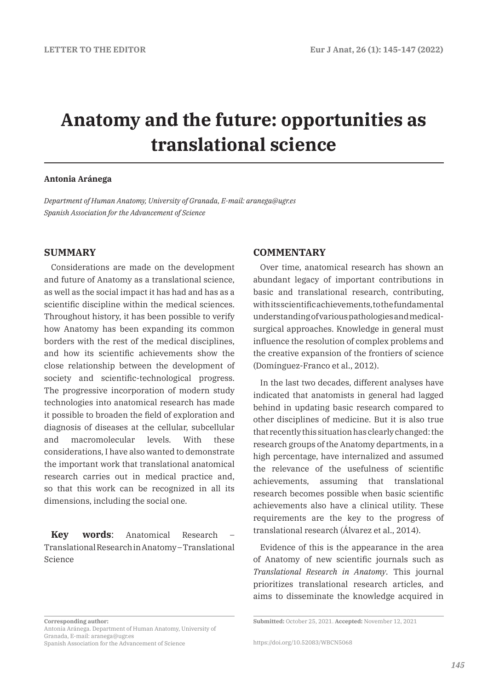# **Anatomy and the future: opportunities as translational science**

### **Antonia Aránega**

*Department of Human Anatomy, University of Granada, E-mail: aranega@ugr.es Spanish Association for the Advancement of Science* 

## **SUMMARY**

Considerations are made on the development and future of Anatomy as a translational science, as well as the social impact it has had and has as a scientific discipline within the medical sciences. Throughout history, it has been possible to verify how Anatomy has been expanding its common borders with the rest of the medical disciplines, and how its scientific achievements show the close relationship between the development of society and scientific-technological progress. The progressive incorporation of modern study technologies into anatomical research has made it possible to broaden the field of exploration and diagnosis of diseases at the cellular, subcellular and macromolecular levels. With these considerations, I have also wanted to demonstrate the important work that translational anatomical research carries out in medical practice and, so that this work can be recognized in all its dimensions, including the social one.

Kev words: Anatomical Research Translational Research in Anatomy –Translational Science

#### **Corresponding author:**  Antonia Aránega. Department of Human Anatomy, University of Granada, E-mail: aranega@ugr.es

Spanish Association for the Advancement of Science

## **COMMENTARY**

Over time, anatomical research has shown an abundant legacy of important contributions in basic and translational research, contributing, with its scientific achievements, to the fundamental understanding of various pathologies and medicalsurgical approaches. Knowledge in general must influence the resolution of complex problems and the creative expansion of the frontiers of science (Domínguez-Franco et al., 2012).

In the last two decades, different analyses have indicated that anatomists in general had lagged behind in updating basic research compared to other disciplines of medicine. But it is also true that recently this situation has clearly changed: the research groups of the Anatomy departments, in a high percentage, have internalized and assumed the relevance of the usefulness of scientific achievements, assuming that translational research becomes possible when basic scientific achievements also have a clinical utility. These requirements are the key to the progress of translational research (Álvarez et al., 2014).

Evidence of this is the appearance in the area of Anatomy of new scientific journals such as *Translational Research in Anatomy*. This journal prioritizes translational research articles, and aims to disseminate the knowledge acquired in

**Submitted:** October 25, 2021. **Accepted:** November 12, 2021

https://doi.org/10.52083/WBCN5068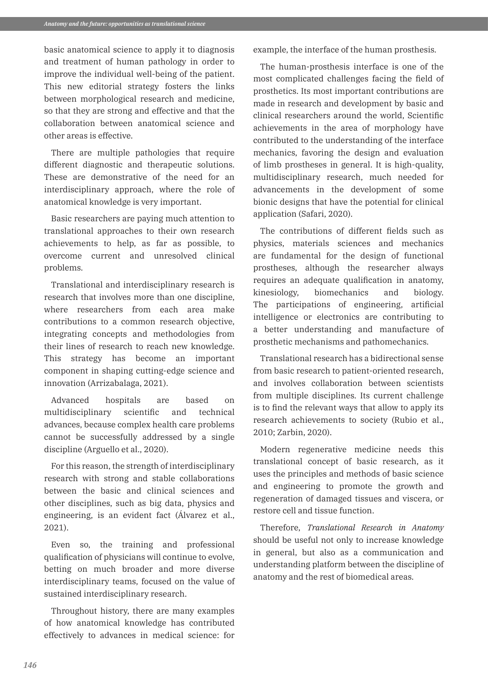basic anatomical science to apply it to diagnosis and treatment of human pathology in order to improve the individual well-being of the patient. This new editorial strategy fosters the links between morphological research and medicine, so that they are strong and effective and that the collaboration between anatomical science and other areas is effective.

There are multiple pathologies that require different diagnostic and therapeutic solutions. These are demonstrative of the need for an interdisciplinary approach, where the role of anatomical knowledge is very important.

Basic researchers are paying much attention to translational approaches to their own research achievements to help, as far as possible, to overcome current and unresolved clinical problems.

Translational and interdisciplinary research is research that involves more than one discipline, where researchers from each area make contributions to a common research objective, integrating concepts and methodologies from their lines of research to reach new knowledge. This strategy has become an important component in shaping cutting-edge science and innovation (Arrizabalaga, 2021).

Advanced hospitals are based on multidisciplinary scientific and technical advances, because complex health care problems cannot be successfully addressed by a single discipline (Arguello et al., 2020).

For this reason, the strength of interdisciplinary research with strong and stable collaborations between the basic and clinical sciences and other disciplines, such as big data, physics and engineering, is an evident fact (Álvarez et al., 2021).

Even so, the training and professional qualification of physicians will continue to evolve, betting on much broader and more diverse interdisciplinary teams, focused on the value of sustained interdisciplinary research.

Throughout history, there are many examples of how anatomical knowledge has contributed effectively to advances in medical science: for

example, the interface of the human prosthesis.

The human-prosthesis interface is one of the most complicated challenges facing the field of prosthetics. Its most important contributions are made in research and development by basic and clinical researchers around the world, Scientific achievements in the area of morphology have contributed to the understanding of the interface mechanics, favoring the design and evaluation of limb prostheses in general. It is high-quality, multidisciplinary research, much needed for advancements in the development of some bionic designs that have the potential for clinical application (Safari, 2020).

The contributions of different fields such as physics, materials sciences and mechanics are fundamental for the design of functional prostheses, although the researcher always requires an adequate qualification in anatomy, kinesiology, biomechanics and biology. The participations of engineering, artificial intelligence or electronics are contributing to a better understanding and manufacture of prosthetic mechanisms and pathomechanics.

Translational research has a bidirectional sense from basic research to patient-oriented research, and involves collaboration between scientists from multiple disciplines. Its current challenge is to find the relevant ways that allow to apply its research achievements to society (Rubio et al., 2010; Zarbin, 2020).

Modern regenerative medicine needs this translational concept of basic research, as it uses the principles and methods of basic science and engineering to promote the growth and regeneration of damaged tissues and viscera, or restore cell and tissue function.

Therefore, *Translational Research in Anatomy* should be useful not only to increase knowledge in general, but also as a communication and understanding platform between the discipline of anatomy and the rest of biomedical areas.